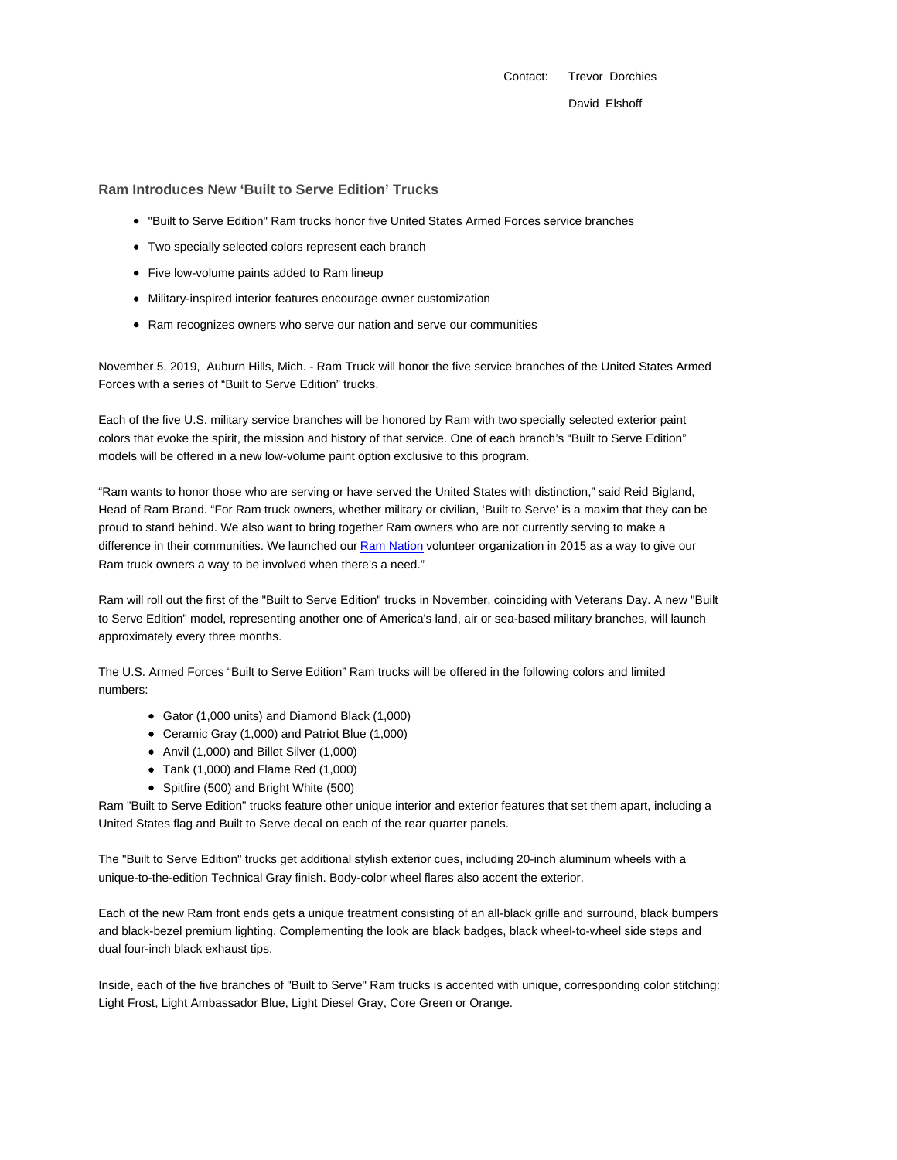Contact: Trevor Dorchies

David Elshoff

## **Ram Introduces New 'Built to Serve Edition' Trucks**

- "Built to Serve Edition" Ram trucks honor five United States Armed Forces service branches
- Two specially selected colors represent each branch
- Five low-volume paints added to Ram lineup
- Military-inspired interior features encourage owner customization
- Ram recognizes owners who serve our nation and serve our communities

November 5, 2019, Auburn Hills, Mich. - Ram Truck will honor the five service branches of the United States Armed Forces with a series of "Built to Serve Edition" trucks.

Each of the five U.S. military service branches will be honored by Ram with two specially selected exterior paint colors that evoke the spirit, the mission and history of that service. One of each branch's "Built to Serve Edition" models will be offered in a new low-volume paint option exclusive to this program.

"Ram wants to honor those who are serving or have served the United States with distinction," said Reid Bigland, Head of Ram Brand. "For Ram truck owners, whether military or civilian, 'Built to Serve' is a maxim that they can be proud to stand behind. We also want to bring together Ram owners who are not currently serving to make a difference in their communities. We launched our Ram Nation volunteer organization in 2015 as a way to give our Ram truck owners a way to be involved when there's a need."

Ram will roll out the first of the "Built to Serve Edition" trucks in November, coinciding with Veterans Day. A new "Built to Serve Edition" model, representing another one of America's land, air or sea-based military branches, will launch approximately every three months.

The U.S. Armed Forces "Built to Serve Edition" Ram trucks will be offered in the following colors and limited numbers:

- Gator (1,000 units) and Diamond Black (1,000)
- Ceramic Gray (1,000) and Patriot Blue (1,000)
- Anvil (1,000) and Billet Silver (1,000)
- Tank (1,000) and Flame Red (1,000)
- Spitfire (500) and Bright White (500)

Ram "Built to Serve Edition" trucks feature other unique interior and exterior features that set them apart, including a United States flag and Built to Serve decal on each of the rear quarter panels.

The "Built to Serve Edition" trucks get additional stylish exterior cues, including 20-inch aluminum wheels with a unique-to-the-edition Technical Gray finish. Body-color wheel flares also accent the exterior.

Each of the new Ram front ends gets a unique treatment consisting of an all-black grille and surround, black bumpers and black-bezel premium lighting. Complementing the look are black badges, black wheel-to-wheel side steps and dual four-inch black exhaust tips.

Inside, each of the five branches of "Built to Serve" Ram trucks is accented with unique, corresponding color stitching: Light Frost, Light Ambassador Blue, Light Diesel Gray, Core Green or Orange.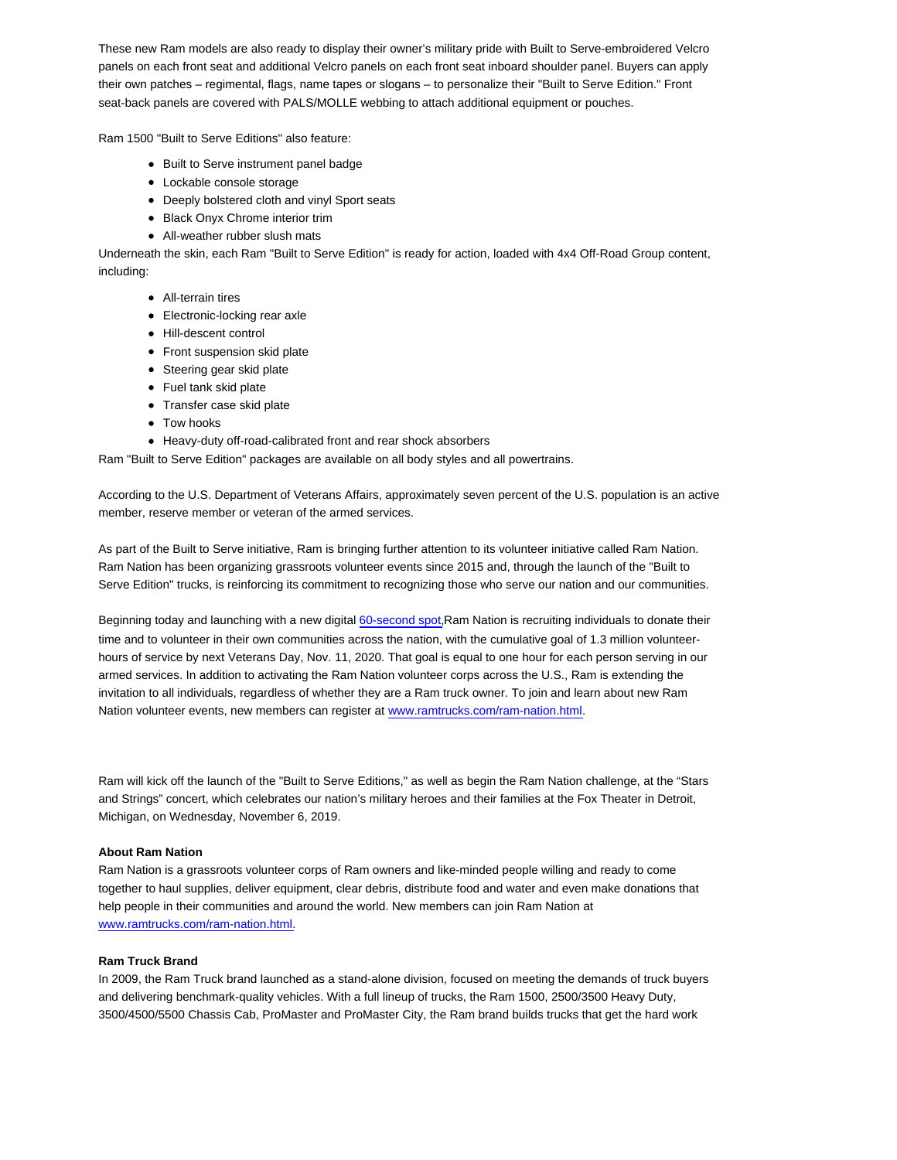These new Ram models are also ready to display their owner's military pride with Built to Serve-embroidered Velcro panels on each front seat and additional Velcro panels on each front seat inboard shoulder panel. Buyers can apply their own patches – regimental, flags, name tapes or slogans – to personalize their "Built to Serve Edition." Front seat-back panels are covered with PALS/MOLLE webbing to attach additional equipment or pouches.

Ram 1500 "Built to Serve Editions" also feature:

- Built to Serve instrument panel badge
- Lockable console storage
- Deeply bolstered cloth and vinyl Sport seats
- Black Onyx Chrome interior trim
- All-weather rubber slush mats

Underneath the skin, each Ram "Built to Serve Edition" is ready for action, loaded with 4x4 Off-Road Group content, including:

- All-terrain tires
- Electronic-locking rear axle
- Hill-descent control
- Front suspension skid plate
- Steering gear skid plate
- Fuel tank skid plate
- Transfer case skid plate
- Tow hooks
- Heavy-duty off-road-calibrated front and rear shock absorbers

Ram "Built to Serve Edition" packages are available on all body styles and all powertrains.

According to the U.S. Department of Veterans Affairs, approximately seven percent of the U.S. population is an active member, reserve member or veteran of the armed services.

As part of the Built to Serve initiative, Ram is bringing further attention to its volunteer initiative called Ram Nation. Ram Nation has been organizing grassroots volunteer events since 2015 and, through the launch of the "Built to Serve Edition" trucks, is reinforcing its commitment to recognizing those who serve our nation and our communities.

Beginning today and launching with a new digital 60-second spot, Ram Nation is recruiting individuals to donate their time and to volunteer in their own communities across the nation, with the cumulative goal of 1.3 million volunteerhours of service by next Veterans Day, Nov. 11, 2020. That goal is equal to one hour for each person serving in our armed services. In addition to activating the Ram Nation volunteer corps across the U.S., Ram is extending the invitation to all individuals, regardless of whether they are a Ram truck owner. To join and learn about new Ram Nation volunteer events, new members can register at www.ramtrucks.com/ram-nation.html.

Ram will kick off the launch of the "Built to Serve Editions," as well as begin the Ram Nation challenge, at the "Stars and Strings" concert, which celebrates our nation's military heroes and their families at the Fox Theater in Detroit, Michigan, on Wednesday, November 6, 2019.

## **About Ram Nation**

Ram Nation is a grassroots volunteer corps of Ram owners and like-minded people willing and ready to come together to haul supplies, deliver equipment, clear debris, distribute food and water and even make donations that help people in their communities and around the world. New members can join Ram Nation at www.ramtrucks.com/ram-nation.html.

## **Ram Truck Brand**

In 2009, the Ram Truck brand launched as a stand-alone division, focused on meeting the demands of truck buyers and delivering benchmark-quality vehicles. With a full lineup of trucks, the Ram 1500, 2500/3500 Heavy Duty, 3500/4500/5500 Chassis Cab, ProMaster and ProMaster City, the Ram brand builds trucks that get the hard work